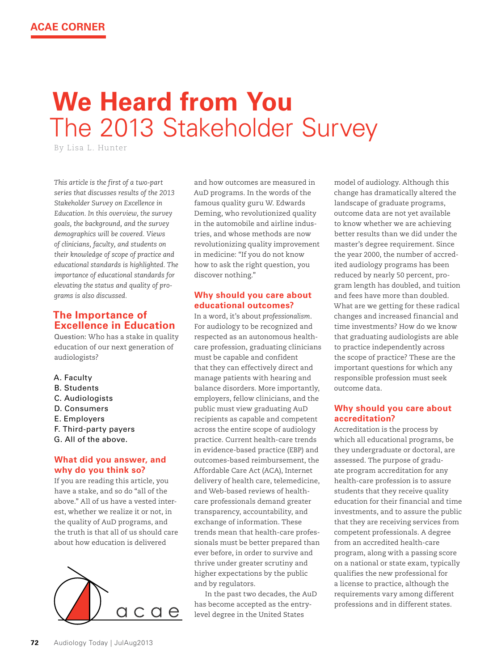# **We Heard from You** The 2013 Stakeholder Survey

By lisa l. hunter

*This article is the first of a two-part series that discusses results of the 2013 Stakeholder Survey on Excellence in Education. In this overview, the survey goals, the background, and the survey demographics will be covered. Views of clinicians, faculty, and students on their knowledge of scope of practice and educational standards is highlighted. The importance of educational standards for elevating the status and quality of programs is also discussed.* 

## **The Importance of Excellence in Education**

Question: Who has a stake in quality education of our next generation of audiologists?

- A. Faculty
- B. Students
- C. Audiologists
- D. Consumers
- E. Employers
- F. Third-party payers
- G. All of the above.

## **What did you answer, and why do you think so?**

If you are reading this article, you have a stake, and so do "all of the above." All of us have a vested interest, whether we realize it or not, in the quality of AuD programs, and the truth is that all of us should care about how education is delivered



and how outcomes are measured in AuD programs. In the words of the famous quality guru W. Edwards Deming, who revolutionized quality in the automobile and airline industries, and whose methods are now revolutionizing quality improvement in medicine: "If you do not know how to ask the right question, you discover nothing."

#### **Why should you care about educational outcomes?**

In a word, it's about *professionalism*. For audiology to be recognized and respected as an autonomous healthcare profession, graduating clinicians must be capable and confident that they can effectively direct and manage patients with hearing and balance disorders. More importantly, employers, fellow clinicians, and the public must view graduating AuD recipients as capable and competent across the entire scope of audiology practice. Current health-care trends in evidence-based practice (EBP) and outcomes-based reimbursement, the Affordable Care Act (ACA), Internet delivery of health care, telemedicine, and Web-based reviews of healthcare professionals demand greater transparency, accountability, and exchange of information. These trends mean that health-care professionals must be better prepared than ever before, in order to survive and thrive under greater scrutiny and higher expectations by the public and by regulators.

In the past two decades, the AuD has become accepted as the entrylevel degree in the United States

model of audiology. Although this change has dramatically altered the landscape of graduate programs, outcome data are not yet available to know whether we are achieving better results than we did under the master's degree requirement. Since the year 2000, the number of accredited audiology programs has been reduced by nearly 50 percent, program length has doubled, and tuition and fees have more than doubled. What are we getting for these radical changes and increased financial and time investments? How do we know that graduating audiologists are able to practice independently across the scope of practice? These are the important questions for which any responsible profession must seek outcome data.

#### **Why should you care about accreditation?**

Accreditation is the process by which all educational programs, be they undergraduate or doctoral, are assessed. The purpose of graduate program accreditation for any health-care profession is to assure students that they receive quality education for their financial and time investments, and to assure the public that they are receiving services from competent professionals. A degree from an accredited health-care program, along with a passing score on a national or state exam, typically qualifies the new professional for a license to practice, although the requirements vary among different professions and in different states.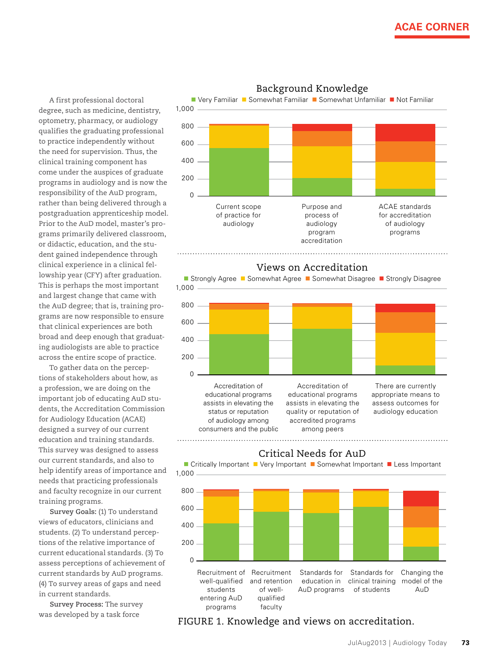A first professional doctoral degree, such as medicine, dentistry, optometry, pharmacy, or audiology qualifies the graduating professional to practice independently without the need for supervision. Thus, the clinical training component has come under the auspices of graduate programs in audiology and is now the responsibility of the AuD program, rather than being delivered through a postgraduation apprenticeship model. Prior to the AuD model, master's programs primarily delivered classroom, or didactic, education, and the student gained independence through clinical experience in a clinical fellowship year (CFY) after graduation. This is perhaps the most important and largest change that came with the AuD degree; that is, training programs are now responsible to ensure that clinical experiences are both broad and deep enough that graduating audiologists are able to practice across the entire scope of practice.

To gather data on the perceptions of stakeholders about how, as a profession, we are doing on the important job of educating AuD students, the Accreditation Commission for Audiology Education (ACAE) designed a survey of our current education and training standards. This survey was designed to assess our current standards, and also to help identify areas of importance and needs that practicing professionals and faculty recognize in our current training programs.

**Survey Goals:** (1) To understand views of educators, clinicians and students. (2) To understand perceptions of the relative importance of current educational standards. (3) To assess perceptions of achievement of current standards by AuD programs. (4) To survey areas of gaps and need in current standards.

**Survey Process:** The survey was developed by a task force



### Background Knowledge





FIGURE 1. Knowledge and views on accreditation.